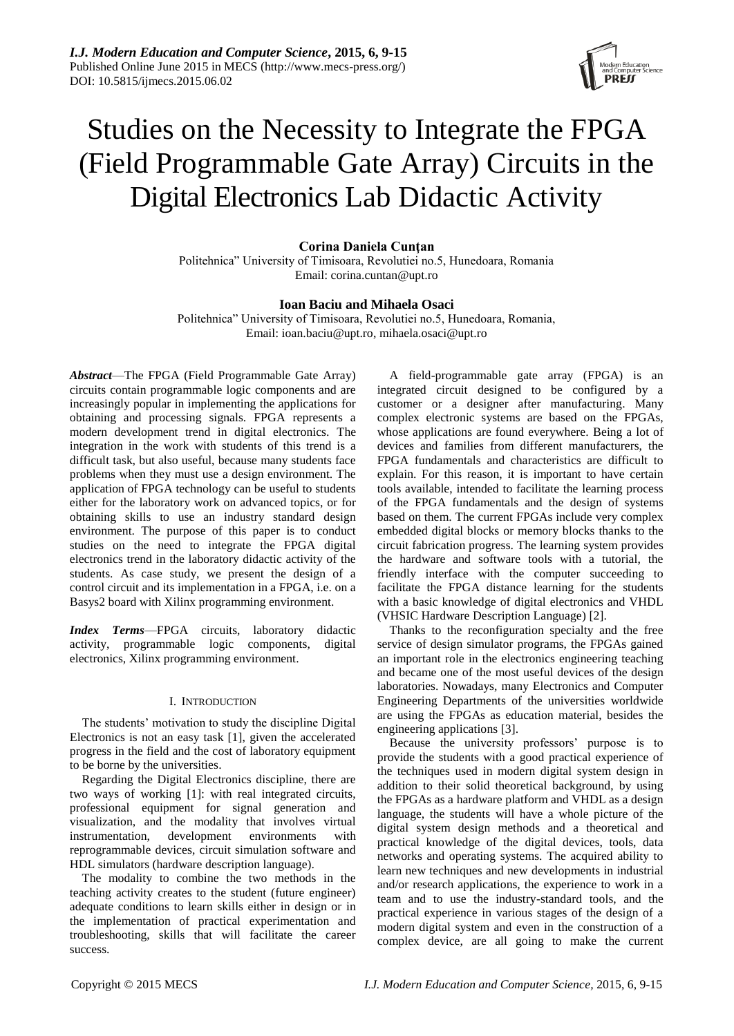

# Studies on the Necessity to Integrate the FPGA (Field Programmable Gate Array) Circuits in the Digital Electronics Lab Didactic Activity

**Corina Daniela Cunţan**

Politehnica" University of Timisoara, Revolutiei no.5, Hunedoara, Romania Email: [corina.cuntan@upt.ro](mailto:corina.cuntan@upt.ro)

## **Ioan Baciu and Mihaela Osaci**

Politehnica" University of Timisoara, Revolutiei no.5, Hunedoara, Romania, Email: [ioan.baciu@upt.ro,](mailto:ioan.baciu@upt.ro) mihaela.osaci@upt.ro

*Abstract*—The FPGA (Field Programmable Gate Array) circuits contain programmable logic components and are increasingly popular in implementing the applications for obtaining and processing signals. FPGA represents a modern development trend in digital electronics. The integration in the work with students of this trend is a difficult task, but also useful, because many students face problems when they must use a design environment. The application of FPGA technology can be useful to students either for the laboratory work on advanced topics, or for obtaining skills to use an industry standard design environment. The purpose of this paper is to conduct studies on the need to integrate the FPGA digital electronics trend in the laboratory didactic activity of the students. As case study, we present the design of a control circuit and its implementation in a FPGA, i.e. on a Basys2 board with Xilinx programming environment.

*Index Terms*—FPGA circuits, laboratory didactic activity, programmable logic components, digital electronics, Xilinx programming environment.

#### I. INTRODUCTION

The students' motivation to study the discipline Digital Electronics is not an easy task [1], given the accelerated progress in the field and the cost of laboratory equipment to be borne by the universities.

Regarding the Digital Electronics discipline, there are two ways of working [1]: with real integrated circuits, professional equipment for signal generation and visualization, and the modality that involves virtual instrumentation, development environments with reprogrammable devices, circuit simulation software and HDL simulators (hardware description language).

The modality to combine the two methods in the teaching activity creates to the student (future engineer) adequate conditions to learn skills either in design or in the implementation of practical experimentation and troubleshooting, skills that will facilitate the career success.

A field-programmable gate array (FPGA) is an integrated circuit designed to be configured by a customer or a designer after manufacturing. Many complex electronic systems are based on the FPGAs, whose applications are found everywhere. Being a lot of devices and families from different manufacturers, the FPGA fundamentals and characteristics are difficult to explain. For this reason, it is important to have certain tools available, intended to facilitate the learning process of the FPGA fundamentals and the design of systems based on them. The current FPGAs include very complex embedded digital blocks or memory blocks thanks to the circuit fabrication progress. The learning system provides the hardware and software tools with a tutorial, the friendly interface with the computer succeeding to facilitate the FPGA distance learning for the students with a basic knowledge of digital electronics and VHDL (VHSIC Hardware Description Language) [2].

Thanks to the reconfiguration specialty and the free service of design simulator programs, the FPGAs gained an important role in the electronics engineering teaching and became one of the most useful devices of the design laboratories. Nowadays, many Electronics and Computer Engineering Departments of the universities worldwide are using the FPGAs as education material, besides the engineering applications [3].

Because the university professors' purpose is to provide the students with a good practical experience of the techniques used in modern digital system design in addition to their solid theoretical background, by using the FPGAs as a hardware platform and VHDL as a design language, the students will have a whole picture of the digital system design methods and a theoretical and practical knowledge of the digital devices, tools, data networks and operating systems. The acquired ability to learn new techniques and new developments in industrial and/or research applications, the experience to work in a team and to use the industry-standard tools, and the practical experience in various stages of the design of a modern digital system and even in the construction of a complex device, are all going to make the current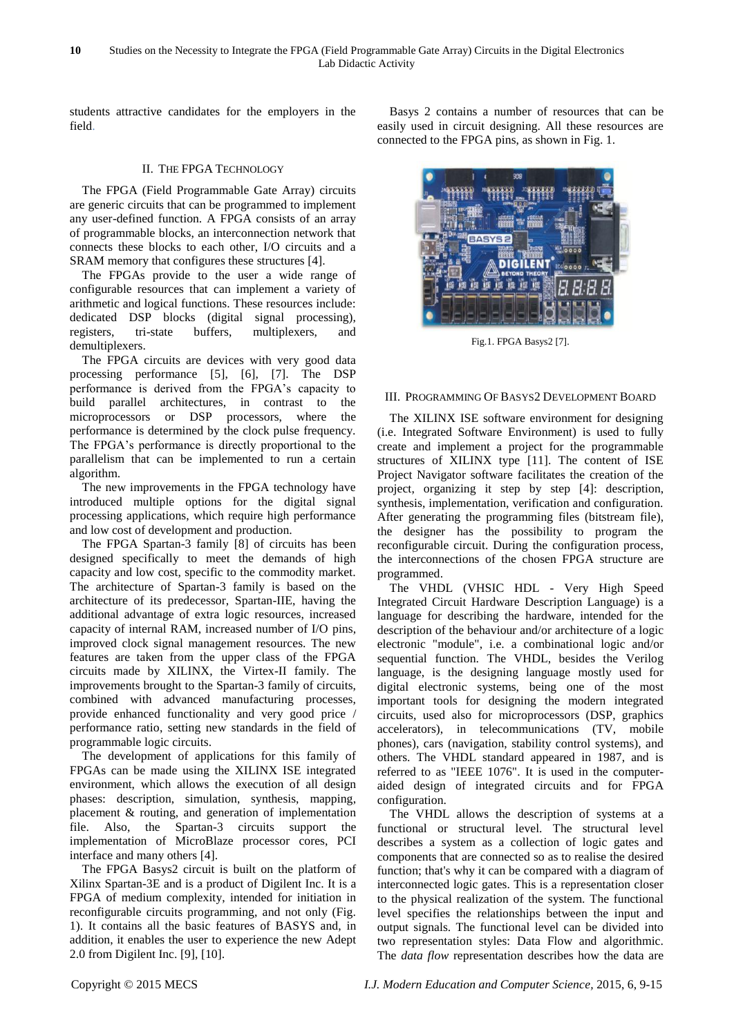students attractive candidates for the employers in the field.

# II. THE FPGA TECHNOLOGY

The [FPGA](http://en.wikipedia.org/wiki/Field-programmable_gate_array) (Field Programmable Gate Array) circuits are generic circuits that can be programmed to implement any user-defined function. A FPGA consists of an array of programmable blocks, an interconnection network that connects these blocks to each other, I/O circuits and a SRAM memory that configures these structures [4].

The FPGAs provide to the user a wide range of configurable resources that can implement a variety of arithmetic and logical functions. These resources include: dedicated DSP blocks (digital signal processing), registers, tri-state buffers, multiplexers, and demultiplexers.

The FPGA circuits are devices with very good data processing performance [5], [6], [7]. The DSP performance is derived from the FPGA's capacity to build parallel architectures, in contrast to the microprocessors or DSP processors, where the performance is determined by the clock pulse frequency. The FPGA's performance is directly proportional to the parallelism that can be implemented to run a certain algorithm.

The new improvements in the FPGA technology have introduced multiple options for the digital signal processing applications, which require high performance and low cost of development and production.

The FPGA Spartan-3 family [8] of circuits has been designed specifically to meet the demands of high capacity and low cost, specific to the commodity market. The architecture of Spartan-3 family is based on the architecture of its predecessor, Spartan-IIE, having the additional advantage of extra logic resources, increased capacity of internal RAM, increased number of I/O pins, improved clock signal management resources. The new features are taken from the upper class of the FPGA circuits made by XILINX, the Virtex-II family. The improvements brought to the Spartan-3 family of circuits, combined with advanced manufacturing processes, provide enhanced functionality and very good price / performance ratio, setting new standards in the field of programmable logic circuits.

The development of applications for this family of FPGAs can be made using the XILINX ISE integrated environment, which allows the execution of all design phases: description, simulation, synthesis, mapping, placement & routing, and generation of implementation file. Also, the Spartan-3 circuits support the implementation of MicroBlaze processor cores, PCI interface and many others [4].

The FPGA Basys2 circuit is built on the platform of Xilinx Spartan-3E and is a product of Digilent Inc. It is a FPGA of medium complexity, intended for initiation in reconfigurable circuits programming, and not only (Fig. 1). It contains all the basic features of BASYS and, in addition, it enables the user to experience the new Adept 2.0 from Digilent Inc. [9], [10].

Basys 2 contains a number of resources that can be easily used in circuit designing. All these resources are connected to the FPGA pins, as shown in Fig. 1.



Fig.1. FPGA Basys2 [7].

# III. PROGRAMMING OF BASYS2 DEVELOPMENT BOARD

The XILINX ISE software environment for designing (i.e. Integrated Software Environment) is used to fully create and implement a project for the programmable structures of XILINX type [11]. The content of ISE Project Navigator software facilitates the creation of the project, organizing it step by step [4]: description, synthesis, implementation, verification and configuration. After generating the programming files (bitstream file), the designer has the possibility to program the reconfigurable circuit. During the configuration process, the interconnections of the chosen FPGA structure are programmed.

The VHDL (VHSIC HDL - Very High Speed Integrated Circuit Hardware Description Language) is a language for describing the hardware, intended for the description of the behaviour and/or architecture of a logic electronic "module", i.e. a combinational logic and/or sequential function. The VHDL, besides the Verilog language, is the designing language mostly used for digital electronic systems, being one of the most important tools for designing the modern integrated circuits, used also for microprocessors (DSP, graphics accelerators), in telecommunications (TV, mobile phones), cars (navigation, stability control systems), and others. The VHDL standard appeared in 1987, and is referred to as "IEEE 1076". It is used in the computeraided design of integrated circuits and for FPGA configuration.

The VHDL allows the description of systems at a functional or structural level. The structural level describes a system as a collection of logic gates and components that are connected so as to realise the desired function; that's why it can be compared with a diagram of interconnected logic gates. This is a representation closer to the physical realization of the system. The functional level specifies the relationships between the input and output signals. The functional level can be divided into two representation styles: Data Flow and algorithmic. The *data flow* representation describes how the data are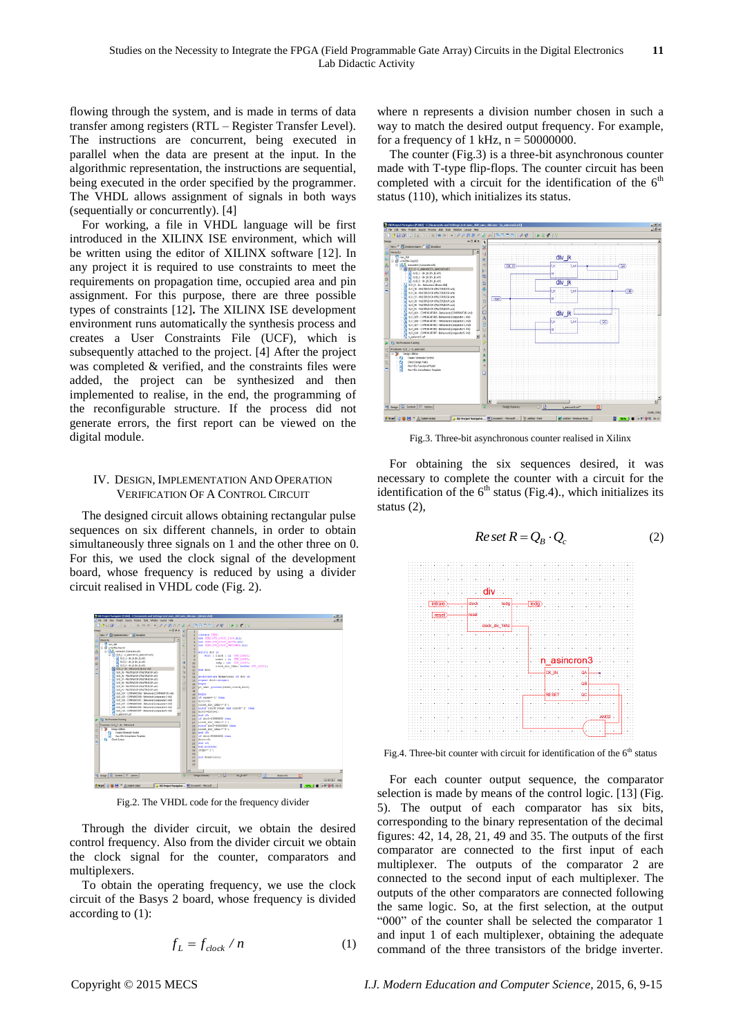flowing through the system, and is made in terms of data transfer among registers (RTL – Register Transfer Level). The instructions are concurrent, being executed in parallel when the data are present at the input. In the algorithmic representation, the instructions are sequential, being executed in the order specified by the programmer. The VHDL allows assignment of signals in both ways (sequentially or concurrently). [4]

For working, a file in VHDL language will be first introduced in the XILINX ISE environment, which will be written using the editor of XILINX software [12]. In any project it is required to use constraints to meet the requirements on propagation time, occupied area and pin assignment. For this purpose, there are three possible types of constraints [12]**.** The XILINX ISE development environment runs automatically the synthesis process and creates a User Constraints File (UCF), which is subsequently attached to the project. [4] After the project was completed & verified, and the constraints files were added, the project can be synthesized and then implemented to realise, in the end, the programming of the reconfigurable structure. If the process did not generate errors, the first report can be viewed on the digital module.

#### IV. DESIGN, IMPLEMENTATION AND OPERATION VERIFICATION OF A CONTROL CIRCUIT

The designed circuit allows obtaining rectangular pulse sequences on six different channels, in order to obtain simultaneously three signals on 1 and the other three on 0. For this, we used the clock signal of the development board, whose frequency is reduced by using a divider circuit realised in VHDL code (Fig. 2).



Fig.2. The VHDL code for the frequency divider

Through the divider circuit, we obtain the desired control frequency. Also from the divider circuit we obtain the clock signal for the counter, comparators and multiplexers.

To obtain the operating frequency, we use the clock circuit of the Basys 2 board, whose frequency is divided according to (1):

$$
f_L = f_{clock} / n \tag{1}
$$

where n represents a division number chosen in such a way to match the desired output frequency. For example, for a frequency of 1 kHz,  $n = 50000000$ .

The counter (Fig.3) is a three-bit asynchronous counter made with T-type flip-flops. The counter circuit has been completed with a circuit for the identification of the  $6<sup>th</sup>$ status (110), which initializes its status.



Fig.3. Three-bit asynchronous counter realised in Xilinx

For obtaining the six sequences desired, it was necessary to complete the counter with a circuit for the identification of the  $6<sup>th</sup>$  status (Fig.4)., which initializes its status (2),

$$
Re\,set R = Q_B \cdot Q_c \tag{2}
$$



Fig.4. Three-bit counter with circuit for identification of the  $6<sup>th</sup>$  status

For each counter output sequence, the comparator selection is made by means of the control logic. [13] (Fig. 5). The output of each comparator has six bits, corresponding to the binary representation of the decimal figures: 42, 14, 28, 21, 49 and 35. The outputs of the first comparator are connected to the first input of each multiplexer. The outputs of the comparator 2 are connected to the second input of each multiplexer. The outputs of the other comparators are connected following the same logic. So, at the first selection, at the output "000" of the counter shall be selected the comparator 1 and input 1 of each multiplexer, obtaining the adequate command of the three transistors of the bridge inverter.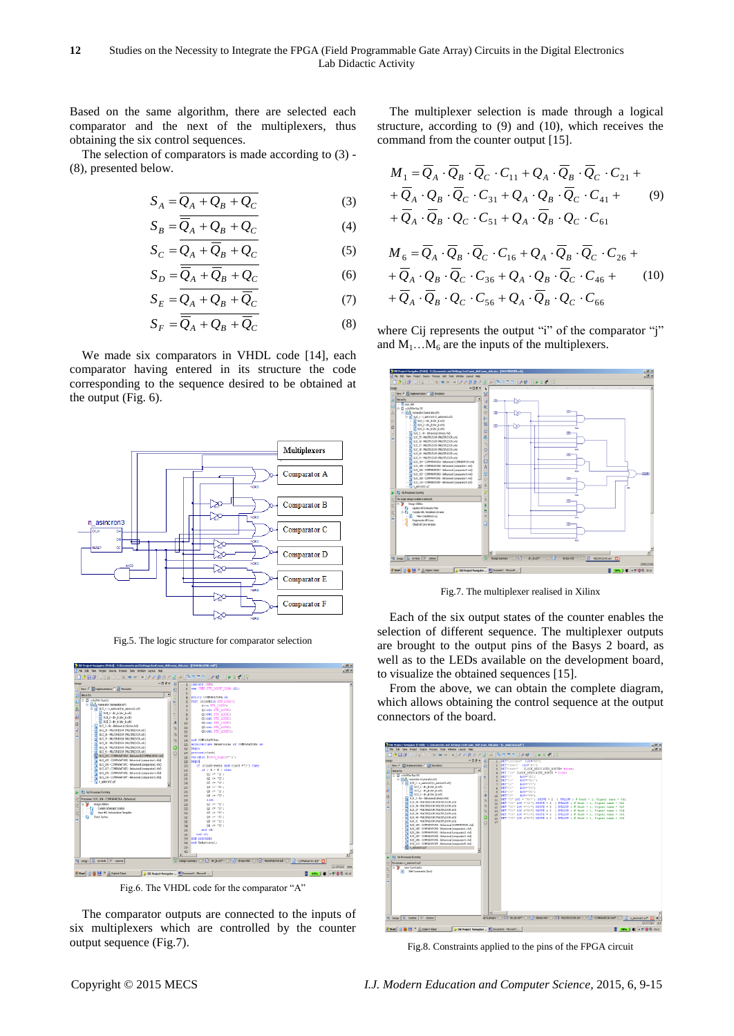Based on the same algorithm, there are selected each comparator and the next of the multiplexers, thus obtaining the six control sequences.

The selection of comparators is made according to (3) - (8), presented below.

$$
S_A = \overline{Q_A + Q_B + Q_C} \tag{3}
$$

$$
S_B = \overline{Q}_A + Q_B + Q_C \tag{4}
$$

$$
S_C = Q_A + \overline{Q}_B + Q_C \tag{5}
$$

$$
S_D = \overline{Q}_A + \overline{Q}_B + Q_C \tag{6}
$$

$$
S_E = \overline{Q_A + Q_B + \overline{Q}_C} \tag{7}
$$

$$
S_F = \overline{Q}_A + Q_B + \overline{Q}_C \tag{8}
$$

We made six comparators in VHDL code [14], each comparator having entered in its structure the code corresponding to the sequence desired to be obtained at the output (Fig. 6).



Fig.5. The logic structure for comparator selection



Fig.6. The VHDL code for the comparator "A"

The comparator outputs are connected to the inputs of six multiplexers which are controlled by the counter output sequence (Fig.7).

The multiplexer selection is made through a logical structure, according to (9) and (10), which receives the command from the counter output [15].

$$
M_{1} = \overline{Q}_{A} \cdot \overline{Q}_{B} \cdot \overline{Q}_{C} \cdot C_{11} + Q_{A} \cdot \overline{Q}_{B} \cdot \overline{Q}_{C} \cdot C_{21} +
$$
  
+  $\overline{Q}_{A} \cdot Q_{B} \cdot \overline{Q}_{C} \cdot C_{31} + Q_{A} \cdot Q_{B} \cdot \overline{Q}_{C} \cdot C_{41} +$   
+  $\overline{Q}_{A} \cdot \overline{Q}_{B} \cdot Q_{C} \cdot C_{51} + Q_{A} \cdot \overline{Q}_{B} \cdot Q_{C} \cdot C_{61}$   

$$
M_{6} = \overline{Q}_{A} \cdot \overline{Q}_{B} \cdot \overline{Q}_{C} \cdot C_{16} + Q_{A} \cdot \overline{Q}_{B} \cdot \overline{Q}_{C} \cdot C_{26} +
$$
  
+  $\overline{Q}_{A} \cdot Q_{B} \cdot \overline{Q}_{C} \cdot C_{36} + Q_{A} \cdot Q_{B} \cdot \overline{Q}_{C} \cdot C_{46} +$   
+  $\overline{Q}_{A} \cdot \overline{Q}_{B} \cdot \overline{Q}_{C} \cdot C_{36} + Q_{A} \cdot \overline{Q}_{B} \cdot \overline{Q}_{C} \cdot C_{46} +$  (10)  
+  $\overline{Q}_{A} \cdot \overline{Q}_{B} \cdot Q_{C} \cdot C_{56} + Q_{A} \cdot \overline{Q}_{B} \cdot Q_{C} \cdot C_{66}$ 

where Cij represents the output "i" of the comparator "i" and  $M_1...M_6$  are the inputs of the multiplexers.



Fig.7. The multiplexer realised in Xilinx

Each of the six output states of the counter enables the selection of different sequence. The multiplexer outputs are brought to the output pins of the Basys 2 board, as well as to the LEDs available on the development board, to visualize the obtained sequences [15].

From the above, we can obtain the complete diagram, which allows obtaining the control sequence at the output connectors of the board.



Fig.8. Constraints applied to the pins of the FPGA circuit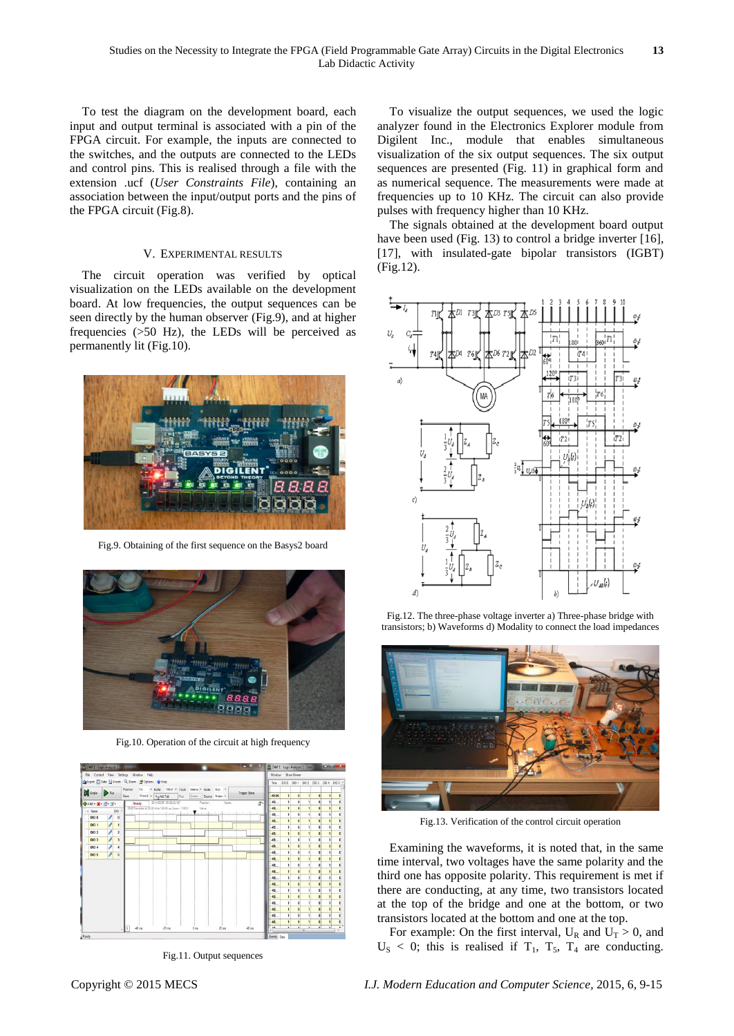To test the diagram on the development board, each input and output terminal is associated with a pin of the FPGA circuit. For example, the inputs are connected to the switches, and the outputs are connected to the LEDs and control pins. This is realised through a file with the extension .ucf (*User Constraints File*), containing an association between the input/output ports and the pins of the FPGA circuit (Fig.8).

#### V. EXPERIMENTAL RESULTS

The circuit operation was verified by optical visualization on the LEDs available on the development board. At low frequencies, the output sequences can be seen directly by the human observer (Fig.9), and at higher frequencies (>50 Hz), the LEDs will be perceived as permanently lit (Fig.10).



Fig.9. Obtaining of the first sequence on the Basys2 board



Fig.10. Operation of the circuit at high frequency



Fig.11. Output sequences

To visualize the output sequences, we used the logic analyzer found in the Electronics Explorer module from Digilent Inc., module that enables simultaneous visualization of the six output sequences. The six output sequences are presented (Fig. 11) in graphical form and as numerical sequence. The measurements were made at frequencies up to 10 KHz. The circuit can also provide pulses with frequency higher than 10 KHz.

The signals obtained at the development board output have been used (Fig. 13) to control a bridge inverter [16], [17], with insulated-gate bipolar transistors (IGBT) (Fig.12).



Fig.12. The three-phase voltage inverter a) Three-phase bridge with transistors; b) Waveforms d) Modality to connect the load impedances



Fig.13. Verification of the control circuit operation

Examining the waveforms, it is noted that, in the same time interval, two voltages have the same polarity and the third one has opposite polarity. This requirement is met if there are conducting, at any time, two transistors located at the top of the bridge and one at the bottom, or two transistors located at the bottom and one at the top.

For example: On the first interval,  $U_R$  and  $U_T > 0$ , and  $U<sub>S</sub> < 0$ ; this is realised if  $T<sub>1</sub>$ ,  $T<sub>5</sub>$ ,  $T<sub>4</sub>$  are conducting.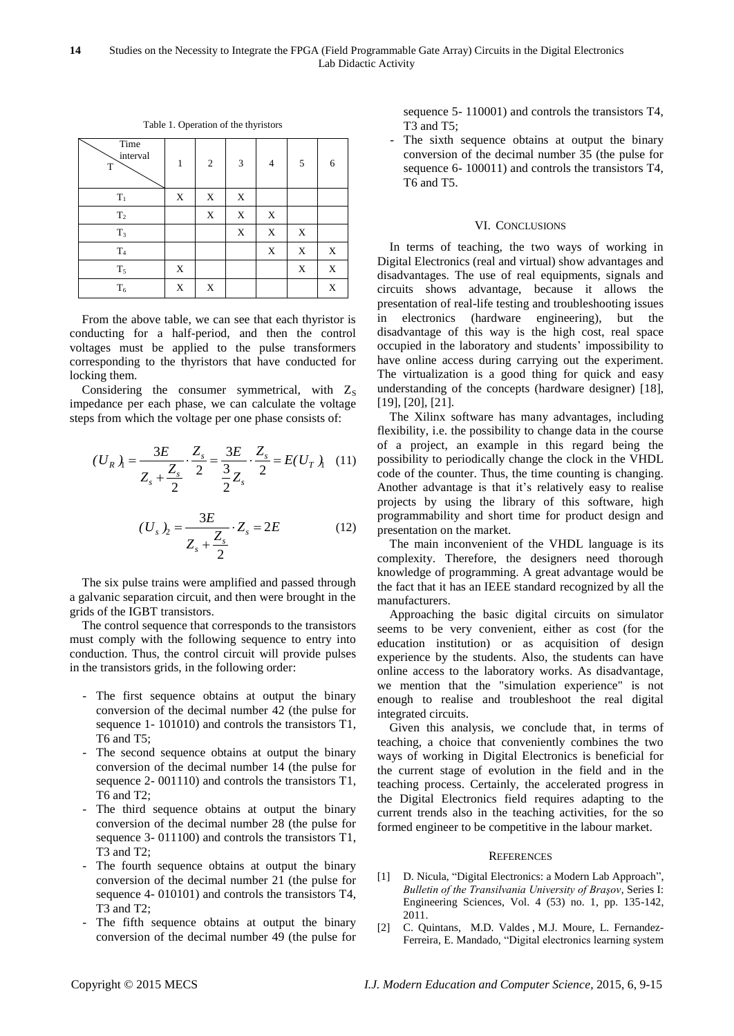| Time<br>interval<br>T | 1 | $\overline{2}$ | 3           | 4           | 5 | 6 |
|-----------------------|---|----------------|-------------|-------------|---|---|
| $T_1$                 | X | X              | $\mathbf X$ |             |   |   |
| $\mathbf{T}_2$        |   | X              | X           | $\mathbf X$ |   |   |
| $\rm T_3$             |   |                | $\mathbf X$ | $\mathbf X$ | X |   |
| T <sub>4</sub>        |   |                |             | X           | X | X |
| $T_5$                 | X |                |             |             | X | X |
| $T_6$                 | X | X              |             |             |   | X |

Table 1. Operation of the thyristors

From the above table, we can see that each thyristor is conducting for a half-period, and then the control voltages must be applied to the pulse transformers corresponding to the thyristors that have conducted for locking them.

Considering the consumer symmetrical, with  $Z_s$ impedance per each phase, we can calculate the voltage steps from which the voltage per one phase consists of:

$$
(U_R)_{1} = \frac{3E}{Z_s + \frac{Z_s}{2}} \cdot \frac{Z_s}{2} = \frac{3E}{\frac{3}{2}Z_s} \cdot \frac{Z_s}{2} = E(U_T)_{1} \quad (11)
$$

$$
(U_s)_2 = \frac{3E}{Z_s + \frac{Z_s}{2}} \cdot Z_s = 2E \tag{12}
$$

The six pulse trains were amplified and passed through a galvanic separation circuit, and then were brought in the grids of the IGBT transistors.

The control sequence that corresponds to the transistors must comply with the following sequence to entry into conduction. Thus, the control circuit will provide pulses in the transistors grids, in the following order:

- The first sequence obtains at output the binary conversion of the decimal number 42 (the pulse for sequence 1- 101010) and controls the transistors T1, T6 and T5;
- The second sequence obtains at output the binary conversion of the decimal number 14 (the pulse for sequence 2- 001110) and controls the transistors T1, T6 and T2;
- The third sequence obtains at output the binary conversion of the decimal number 28 (the pulse for sequence 3- 011100) and controls the transistors T1, T3 and T2;
- The fourth sequence obtains at output the binary conversion of the decimal number 21 (the pulse for sequence 4- 010101) and controls the transistors T4, T3 and T2;
- The fifth sequence obtains at output the binary conversion of the decimal number 49 (the pulse for

sequence 5- 110001) and controls the transistors T4, T3 and T5;

- The sixth sequence obtains at output the binary conversion of the decimal number 35 (the pulse for sequence 6- 100011) and controls the transistors T4, T6 and T5.

#### VI. CONCLUSIONS

In terms of teaching, the two ways of working in Digital Electronics (real and virtual) show advantages and disadvantages. The use of real equipments, signals and circuits shows advantage, because it allows the presentation of real-life testing and troubleshooting issues in electronics (hardware engineering), but the disadvantage of this way is the high cost, real space occupied in the laboratory and students' impossibility to have online access during carrying out the experiment. The virtualization is a good thing for quick and easy understanding of the concepts (hardware designer) [18], [19], [20], [21].

The Xilinx software has many advantages, including flexibility, i.e. the possibility to change data in the course of a project, an example in this regard being the possibility to periodically change the clock in the VHDL code of the counter. Thus, the time counting is changing. Another advantage is that it's relatively easy to realise projects by using the library of this software, high programmability and short time for product design and presentation on the market.

The main inconvenient of the VHDL language is its complexity. Therefore, the designers need thorough knowledge of programming. A great advantage would be the fact that it has an IEEE standard recognized by all the manufacturers.

Approaching the basic digital circuits on simulator seems to be very convenient, either as cost (for the education institution) or as acquisition of design experience by the students. Also, the students can have online access to the laboratory works. As disadvantage, we mention that the "simulation experience" is not enough to realise and troubleshoot the real digital integrated circuits.

Given this analysis, we conclude that, in terms of teaching, a choice that conveniently combines the two ways of working in Digital Electronics is beneficial for the current stage of evolution in the field and in the teaching process. Certainly, the accelerated progress in the Digital Electronics field requires adapting to the current trends also in the teaching activities, for the so formed engineer to be competitive in the labour market.

#### **REFERENCES**

- [1] D. Nicula, "Digital Electronics: a Modern Lab Approach", *Bulletin of the Transilvania University of Braşov*, Series I: Engineering Sciences, Vol. 4 (53) no. 1, pp. 135-142, 2011.
- [2] C. Quintans, M.D. Valdes , M.J. Moure, L. Fernandez-Ferreira, E. Mandado, "Digital electronics learning system